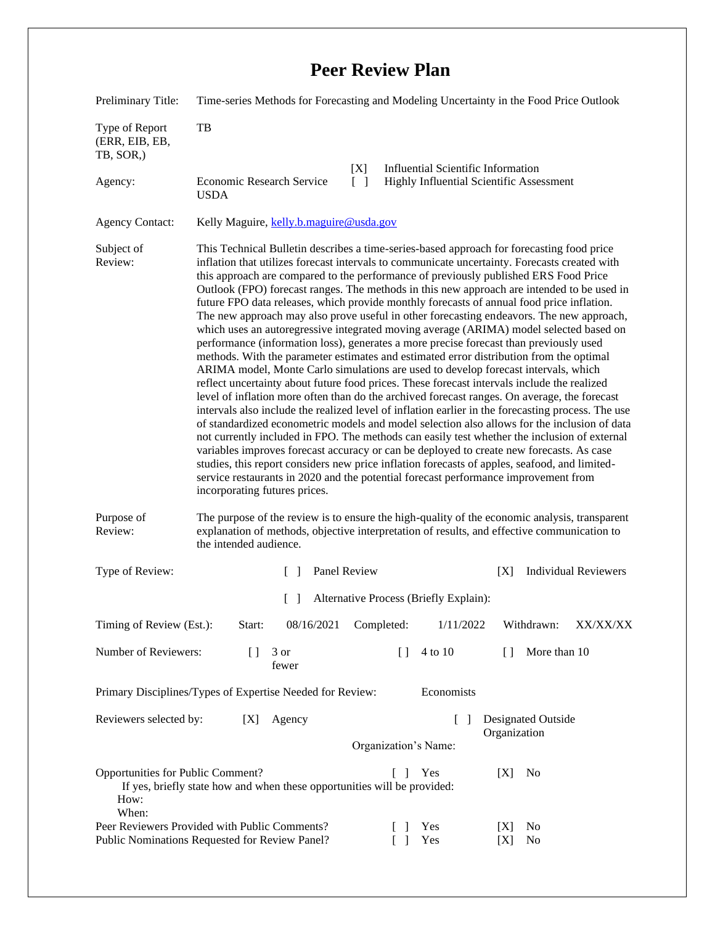| Preliminary Title:                                                                                                                              | Time-series Methods for Forecasting and Modeling Uncertainty in the Food Price Outlook                                                                                                                                                                                                                                                                                                                                                                                                                                                                                                                                                                                                                                                                                                                                                                                                                                                                                                                                                                                                                                                                                                                                                                                                                                                                                                                                                                                                                                                                                                                                                                                                                                                                                   |
|-------------------------------------------------------------------------------------------------------------------------------------------------|--------------------------------------------------------------------------------------------------------------------------------------------------------------------------------------------------------------------------------------------------------------------------------------------------------------------------------------------------------------------------------------------------------------------------------------------------------------------------------------------------------------------------------------------------------------------------------------------------------------------------------------------------------------------------------------------------------------------------------------------------------------------------------------------------------------------------------------------------------------------------------------------------------------------------------------------------------------------------------------------------------------------------------------------------------------------------------------------------------------------------------------------------------------------------------------------------------------------------------------------------------------------------------------------------------------------------------------------------------------------------------------------------------------------------------------------------------------------------------------------------------------------------------------------------------------------------------------------------------------------------------------------------------------------------------------------------------------------------------------------------------------------------|
| Type of Report<br>(ERR, EIB, EB,<br>TB, SOR,)                                                                                                   | TB                                                                                                                                                                                                                                                                                                                                                                                                                                                                                                                                                                                                                                                                                                                                                                                                                                                                                                                                                                                                                                                                                                                                                                                                                                                                                                                                                                                                                                                                                                                                                                                                                                                                                                                                                                       |
| Agency:                                                                                                                                         | [X]<br><b>Influential Scientific Information</b><br>Economic Research Service<br>$\lceil \rceil$<br>Highly Influential Scientific Assessment<br><b>USDA</b>                                                                                                                                                                                                                                                                                                                                                                                                                                                                                                                                                                                                                                                                                                                                                                                                                                                                                                                                                                                                                                                                                                                                                                                                                                                                                                                                                                                                                                                                                                                                                                                                              |
| <b>Agency Contact:</b>                                                                                                                          | Kelly Maguire, kelly.b.maguire@usda.gov                                                                                                                                                                                                                                                                                                                                                                                                                                                                                                                                                                                                                                                                                                                                                                                                                                                                                                                                                                                                                                                                                                                                                                                                                                                                                                                                                                                                                                                                                                                                                                                                                                                                                                                                  |
| Subject of<br>Review:                                                                                                                           | This Technical Bulletin describes a time-series-based approach for forecasting food price<br>inflation that utilizes forecast intervals to communicate uncertainty. Forecasts created with<br>this approach are compared to the performance of previously published ERS Food Price<br>Outlook (FPO) forecast ranges. The methods in this new approach are intended to be used in<br>future FPO data releases, which provide monthly forecasts of annual food price inflation.<br>The new approach may also prove useful in other forecasting endeavors. The new approach,<br>which uses an autoregressive integrated moving average (ARIMA) model selected based on<br>performance (information loss), generates a more precise forecast than previously used<br>methods. With the parameter estimates and estimated error distribution from the optimal<br>ARIMA model, Monte Carlo simulations are used to develop forecast intervals, which<br>reflect uncertainty about future food prices. These forecast intervals include the realized<br>level of inflation more often than do the archived forecast ranges. On average, the forecast<br>intervals also include the realized level of inflation earlier in the forecasting process. The use<br>of standardized econometric models and model selection also allows for the inclusion of data<br>not currently included in FPO. The methods can easily test whether the inclusion of external<br>variables improves forecast accuracy or can be deployed to create new forecasts. As case<br>studies, this report considers new price inflation forecasts of apples, seafood, and limited-<br>service restaurants in 2020 and the potential forecast performance improvement from<br>incorporating futures prices. |
| Purpose of<br>Review:                                                                                                                           | The purpose of the review is to ensure the high-quality of the economic analysis, transparent<br>explanation of methods, objective interpretation of results, and effective communication to<br>the intended audience.                                                                                                                                                                                                                                                                                                                                                                                                                                                                                                                                                                                                                                                                                                                                                                                                                                                                                                                                                                                                                                                                                                                                                                                                                                                                                                                                                                                                                                                                                                                                                   |
| Type of Review:                                                                                                                                 | Panel Review<br><b>Individual Reviewers</b><br>[X]<br>$\mathbf{I}$                                                                                                                                                                                                                                                                                                                                                                                                                                                                                                                                                                                                                                                                                                                                                                                                                                                                                                                                                                                                                                                                                                                                                                                                                                                                                                                                                                                                                                                                                                                                                                                                                                                                                                       |
|                                                                                                                                                 | [ ] Alternative Process (Briefly Explain):                                                                                                                                                                                                                                                                                                                                                                                                                                                                                                                                                                                                                                                                                                                                                                                                                                                                                                                                                                                                                                                                                                                                                                                                                                                                                                                                                                                                                                                                                                                                                                                                                                                                                                                               |
| Timing of Review (Est.):                                                                                                                        | Start:<br>Completed:<br>Withdrawn:<br>08/16/2021<br>1/11/2022<br>XX/XX/XX                                                                                                                                                                                                                                                                                                                                                                                                                                                                                                                                                                                                                                                                                                                                                                                                                                                                                                                                                                                                                                                                                                                                                                                                                                                                                                                                                                                                                                                                                                                                                                                                                                                                                                |
| Number of Reviewers:                                                                                                                            | $[ \ ]$<br>4 to 10<br>More than 10<br>$[ \ ]$<br>3 or<br>$\Box$<br>fewer                                                                                                                                                                                                                                                                                                                                                                                                                                                                                                                                                                                                                                                                                                                                                                                                                                                                                                                                                                                                                                                                                                                                                                                                                                                                                                                                                                                                                                                                                                                                                                                                                                                                                                 |
| Economists<br>Primary Disciplines/Types of Expertise Needed for Review:                                                                         |                                                                                                                                                                                                                                                                                                                                                                                                                                                                                                                                                                                                                                                                                                                                                                                                                                                                                                                                                                                                                                                                                                                                                                                                                                                                                                                                                                                                                                                                                                                                                                                                                                                                                                                                                                          |
| Reviewers selected by:                                                                                                                          | [X]<br>Agency<br>Designated Outside<br>$\begin{bmatrix} 1 \end{bmatrix}$<br>Organization<br>Organization's Name:                                                                                                                                                                                                                                                                                                                                                                                                                                                                                                                                                                                                                                                                                                                                                                                                                                                                                                                                                                                                                                                                                                                                                                                                                                                                                                                                                                                                                                                                                                                                                                                                                                                         |
| Opportunities for Public Comment?<br>Yes<br>[X]<br>No<br>-1<br>If yes, briefly state how and when these opportunities will be provided:<br>How: |                                                                                                                                                                                                                                                                                                                                                                                                                                                                                                                                                                                                                                                                                                                                                                                                                                                                                                                                                                                                                                                                                                                                                                                                                                                                                                                                                                                                                                                                                                                                                                                                                                                                                                                                                                          |
| When:                                                                                                                                           | Peer Reviewers Provided with Public Comments?<br>[X]<br>No<br>Yes<br>Public Nominations Requested for Review Panel?<br>Yes<br>[X]<br>No                                                                                                                                                                                                                                                                                                                                                                                                                                                                                                                                                                                                                                                                                                                                                                                                                                                                                                                                                                                                                                                                                                                                                                                                                                                                                                                                                                                                                                                                                                                                                                                                                                  |

## **Peer Review Plan**